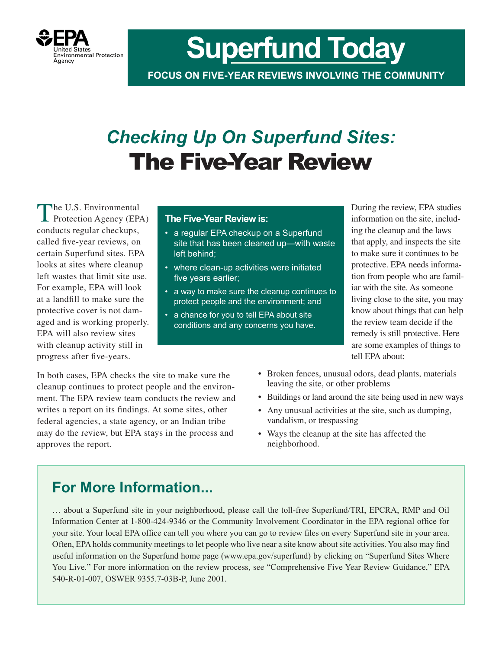

**Superfund Today**

**FOCUS ON FIVE-YEAR REVIEWS INVOLVING THE COMMUNITY**

## *Checking Up On Superfund Sites:* The Five-Year Review

The U.S. Environmental<br>
Protection Agency (EPA) conducts regular checkups, called five-year reviews, on certain Superfund sites. EPA looks at sites where cleanup left wastes that limit site use. For example, EPA will look at a landfill to make sure the protective cover is not damaged and is working properly. EPA will also review sites with cleanup activity still in progress after five-years.

#### **The Five-Year Review is:**

- a regular EPA checkup on a Superfund site that has been cleaned up—with waste left behind;
- where clean-up activities were initiated five years earlier;
- • a way to make sure the cleanup continues to protect people and the environment; and
- a chance for you to tell EPA about site conditions and any concerns you have.

During the review, EPA studies information on the site, including the cleanup and the laws that apply, and inspects the site to make sure it continues to be protective. EPA needs information from people who are familiar with the site. As someone living close to the site, you may know about things that can help the review team decide if the remedy is still protective. Here are some examples of things to tell EPA about:

In both cases, EPA checks the site to make sure the cleanup continues to protect people and the environment. The EPA review team conducts the review and writes a report on its findings. At some sites, other federal agencies, a state agency, or an Indian tribe may do the review, but EPA stays in the process and approves the report.

- Broken fences, unusual odors, dead plants, materials leaving the site, or other problems
- Buildings or land around the site being used in new ways
- Any unusual activities at the site, such as dumping, vandalism, or trespassing
- Ways the cleanup at the site has affected the neighborhood.

### **For More Information...**

… about a Superfund site in your neighborhood, please call the toll-free Superfund/TRI, EPCRA, RMP and Oil Information Center at 1-800-424-9346 or the Community Involvement Coordinator in the EPA regional office for your site. Your local EPA office can tell you where you can go to review files on every Superfund site in your area. Often, EPA holds community meetings to let people who live near a site know about site activities. You also may find useful information on the Superfund home page (www.epa.gov/superfund) by clicking on "Superfund Sites Where You Live." For more information on the review process, see "Comprehensive Five Year Review Guidance," EPA 540-R-01-007, OSWER 9355.7-03B-P, June 2001.